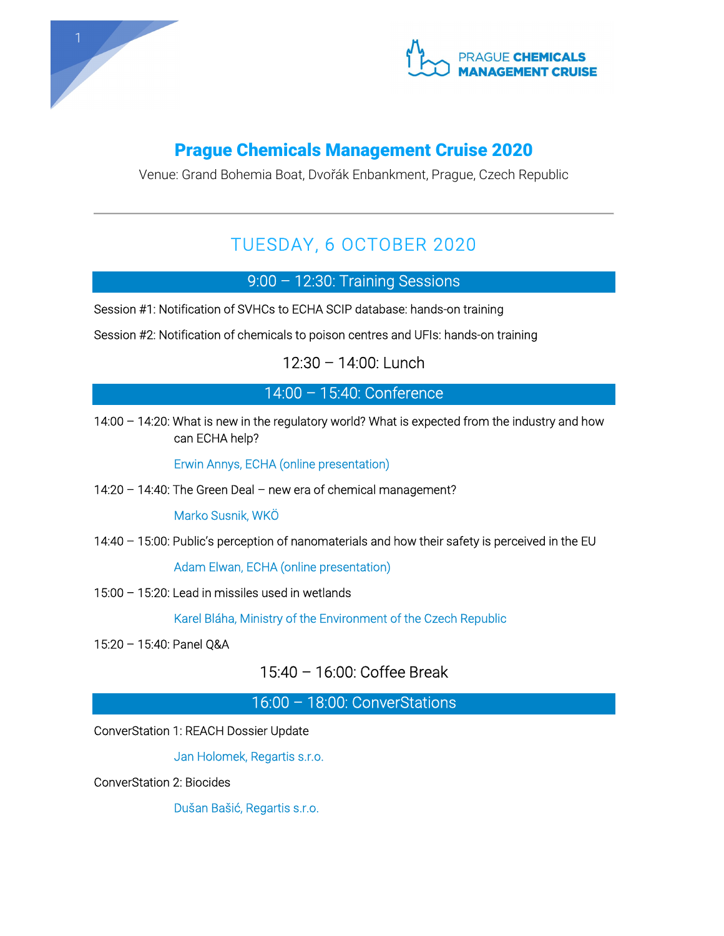



## Prague Chemicals Management Cruise 2020

Venue: Grand Bohemia Boat, Dvořák Enbankment, Prague, Czech Republic

## TUESDAY, 6 OCTOBER 2020

9:00 – 12:30: Training Sessions

Session #1: Notification of SVHCs to ECHA SCIP database: hands-on training

Session #2: Notification of chemicals to poison centres and UFIs: hands-on training

12:30 – 14:00: Lunch

14:00 – 15:40: Conference

14:00 – 14:20: What is new in the regulatory world? What is expected from the industry and how can ECHA help?

Erwin Annys, ECHA (online presentation)

14:20 – 14:40: The Green Deal – new era of chemical management?

Marko Susnik, WKÖ

14:40 – 15:00: Public's perception of nanomaterials and how their safety is perceived in the EU

Adam Elwan, ECHA (online presentation)

15:00 – 15:20: Lead in missiles used in wetlands

Karel Bláha, Ministry of the Environment of the Czech Republic

15:20 – 15:40: Panel Q&A

15:40 – 16:00: Coffee Break

16:00 – 18:00: ConverStations

ConverStation 1: REACH Dossier Update

Jan Holomek, Regartis s.r.o.

ConverStation 2: Biocides

Dušan Bašić, Regartis s.r.o.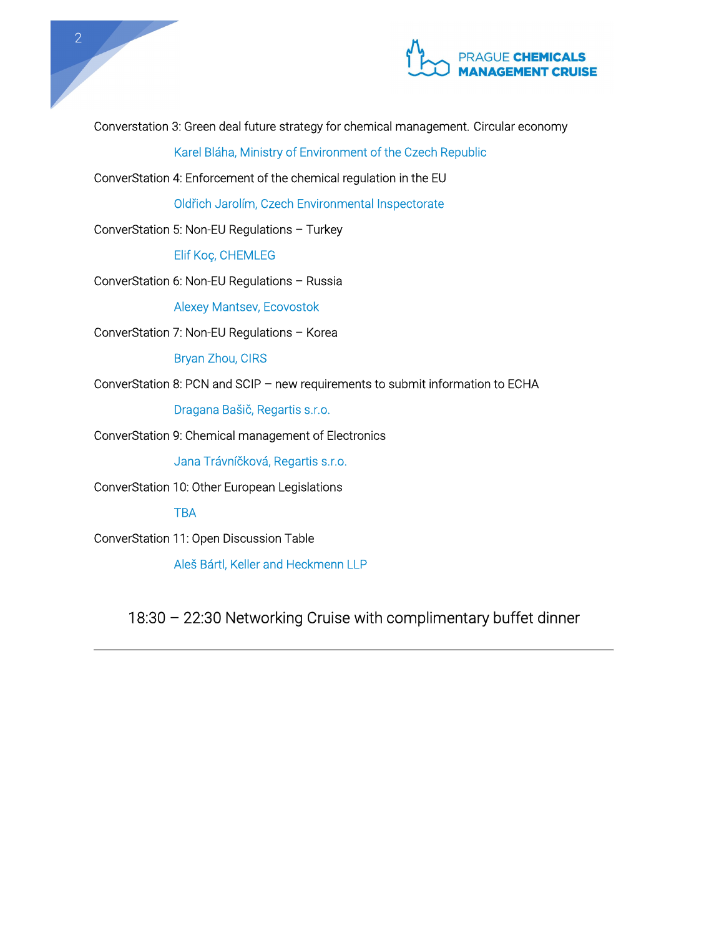

Converstation 3: Green deal future strategy for chemical management. Circular economy

Karel Bláha, Ministry of Environment of the Czech Republic

ConverStation 4: Enforcement of the chemical regulation in the EU

Oldřich Jarolím, Czech Environmental Inspectorate

ConverStation 5: Non-EU Regulations – Turkey

Elif Koç, CHEMLEG

ConverStation 6: Non-EU Regulations – Russia

Alexey Mantsev, Ecovostok

ConverStation 7: Non-EU Regulations – Korea

Bryan Zhou, CIRS

ConverStation 8: PCN and SCIP – new requirements to submit information to ECHA

Dragana Bašič, Regartis s.r.o.

ConverStation 9: Chemical management of Electronics

Jana Trávníčková, Regartis s.r.o.

ConverStation 10: Other European Legislations

**TBA** 

ConverStation 11: Open Discussion Table

Aleš Bártl, Keller and Heckmenn LLP

18:30 – 22:30 Networking Cruise with complimentary buffet dinner

2